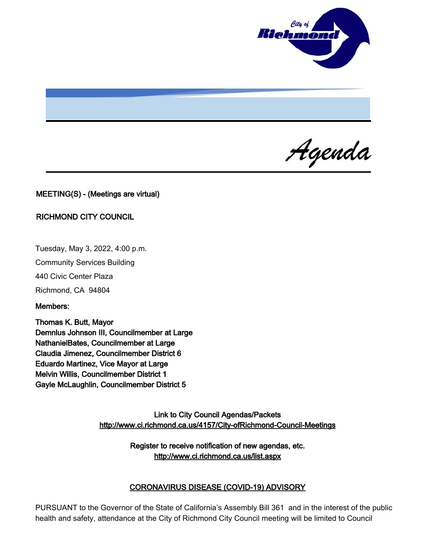

Agenda

# MEETING(S) - (Meetings are virtual)

### RICHMOND CITY COUNCIL

Tuesday, May 3, 2022, 4:00 p.m.

Community Services Building

440 Civic Center Plaza

Richmond, CA 94804

Members:

Thomas K. Butt, Mayor Demnlus Johnson III, Councilmember at Large NathanielBates, Councilmember at Large Claudia Jimenez, Councilmember District 6 Eduardo Martinez, Vice Mayor at Large Melvin Willis, Councilmember District 1 Gayle McLaughlin, Councilmember District 5

> Link to City Council Agendas/Packets <http://www.ci.richmond.ca.us/4157/City-ofRichmond-Council-Meetings>

> > Register to receive notification of new agendas, etc. <http://www.ci.richmond.ca.us/list.aspx>

### CORONAVIRUS DISEASE (COVID-19) ADVISORY

PURSUANT to the Governor of the State of California's Assembly Bill 361 and in the interest of the public health and safety, attendance at the City of Richmond City Council meeting will be limited to Council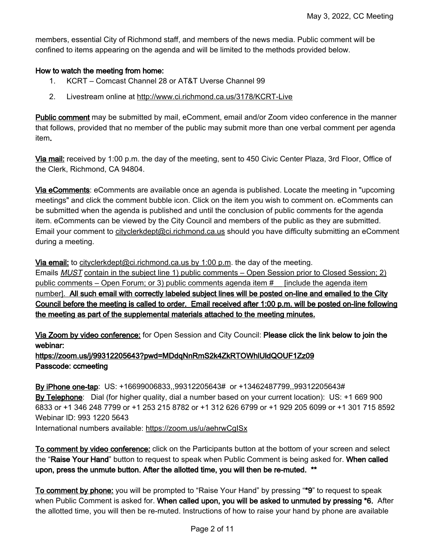members, essential City of Richmond staff, and members of the news media. Public comment will be confined to items appearing on the agenda and will be limited to the methods provided below.

# How to watch the meeting from home:

- 1. KCRT Comcast Channel 28 or AT&T Uverse Channel 99
- 2. Livestream online at <http://www.ci.richmond.ca.us/3178/KCRT-Live>

**Public comment** may be submitted by mail, eComment, email and/or Zoom video conference in the manner that follows, provided that no member of the public may submit more than one verbal comment per agenda item.

Via mail: received by 1:00 p.m. the day of the meeting, sent to 450 Civic Center Plaza, 3rd Floor, Office of the Clerk, Richmond, CA 94804.

Via eComments: eComments are available once an agenda is published. Locate the meeting in "upcoming meetings" and click the comment bubble icon. Click on the item you wish to comment on. eComments can be submitted when the agenda is published and until the conclusion of public comments for the agenda item. eComments can be viewed by the City Council and members of the public as they are submitted. Email your comment to [cityclerkdept@ci.richmond.ca.us](mailto:cityclerkdept@ci.richmond.ca.us) should you have difficulty submitting an eComment during a meeting.

Via email: to [cityclerkdept@ci.richmond.ca.us](mailto:cityclerkdept@ci.richmond.ca.us) by 1:00 p.m. the day of the meeting.

Emails **MUST** contain in the subject line 1) public comments – Open Session prior to Closed Session; 2) public comments – Open Forum; or 3) public comments agenda item #\_\_ [include the agenda item number]. All such email with correctly labeled subject lines will be posted on-line and emailed to the City Council before the meeting is called to order. Email received after 1:00 p.m. will be posted on-line following the meeting as part of the supplemental materials attached to the meeting minutes.

Via Zoom by video conference: for Open Session and City Council: Please click the link below to join the webinar:

# https://zoom.us/j/99312205643?pwd=MDdqNnRmS2k4ZkRTOWhlUldQOUF1Zz09 Passcode: ccmeeting

By iPhone one-tap: US: +16699006833,,99312205643# or +13462487799,,99312205643# By Telephone: Dial (for higher quality, dial a number based on your current location): US: +1 669 900 6833 or +1 346 248 7799 or +1 253 215 8782 or +1 312 626 6799 or +1 929 205 6099 or +1 301 715 8592 Webinar ID: 993 1220 5643 International numbers available: <https://zoom.us/u/aehrwCgISx>

To comment by video conference: click on the Participants button at the bottom of your screen and select the "Raise Your Hand" button to request to speak when Public Comment is being asked for. When called upon, press the unmute button. After the allotted time, you will then be re-muted. \*\*

To comment by phone: you will be prompted to "Raise Your Hand" by pressing "\*9" to request to speak when Public Comment is asked for. When called upon, you will be asked to unmuted by pressing \*6. After the allotted time, you will then be re-muted. Instructions of how to raise your hand by phone are available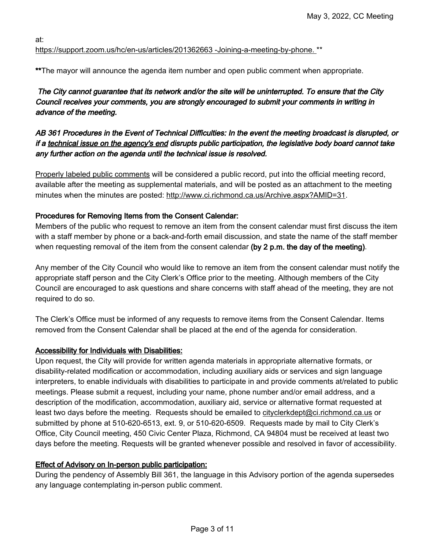at:

# [https://support.zoom.us/hc/en-us/articles/201362663 -Joining-a-meeting-by-phone.](https://support.zoom.us/hc/en-us/articles/201362663%20-Joining-a-meeting-by-phone.) \*\*

\*\*The mayor will announce the agenda item number and open public comment when appropriate.

# The City cannot guarantee that its network and/or the site will be uninterrupted. To ensure that the City Council receives your comments, you are strongly encouraged to submit your comments in writing in advance of the meeting.

# AB 361 Procedures in the Event of Technical Difficulties: In the event the meeting broadcast is disrupted, or if a technical issue on the agency's end disrupts public participation, the legislative body board cannot take any further action on the agenda until the technical issue is resolved.

Properly labeled public comments will be considered a public record, put into the official meeting record, available after the meeting as supplemental materials, and will be posted as an attachment to the meeting minutes when the minutes are posted: [http://www.ci.richmond.ca.us/Archive.aspx?AMID=31.](http://www.ci.richmond.ca.us/Archive.aspx?AMID=31)

# Procedures for Removing Items from the Consent Calendar:

Members of the public who request to remove an item from the consent calendar must first discuss the item with a staff member by phone or a back-and-forth email discussion, and state the name of the staff member when requesting removal of the item from the consent calendar (by  $2$  p.m. the day of the meeting).

Any member of the City Council who would like to remove an item from the consent calendar must notify the appropriate staff person and the City Clerk's Office prior to the meeting. Although members of the City Council are encouraged to ask questions and share concerns with staff ahead of the meeting, they are not required to do so.

The Clerk's Office must be informed of any requests to remove items from the Consent Calendar. Items removed from the Consent Calendar shall be placed at the end of the agenda for consideration.

# Accessibility for Individuals with Disabilities:

Upon request, the City will provide for written agenda materials in appropriate alternative formats, or disability-related modification or accommodation, including auxiliary aids or services and sign language interpreters, to enable individuals with disabilities to participate in and provide comments at/related to public meetings. Please submit a request, including your name, phone number and/or email address, and a description of the modification, accommodation, auxiliary aid, service or alternative format requested at least two days before the meeting. Requests should be emailed to [cityclerkdept@ci.richmond.ca.us](mailto:cityclerkdept@ci.richmond.ca.us) or submitted by phone at 510-620-6513, ext. 9, or 510-620-6509. Requests made by mail to City Clerk's Office, City Council meeting, 450 Civic Center Plaza, Richmond, CA 94804 must be received at least two days before the meeting. Requests will be granted whenever possible and resolved in favor of accessibility.

# Effect of Advisory on In-person public participation:

During the pendency of Assembly Bill 361, the language in this Advisory portion of the agenda supersedes any language contemplating in-person public comment.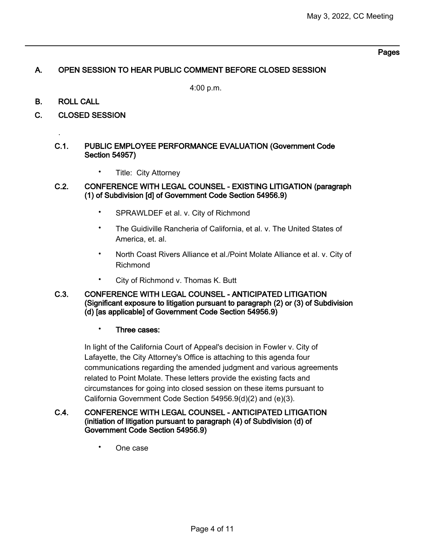#### Pages

# A. OPEN SESSION TO HEAR PUBLIC COMMENT BEFORE CLOSED SESSION

4:00 p.m.

B. ROLL CALL

.

C. CLOSED SESSION

### C.1. PUBLIC EMPLOYEE PERFORMANCE EVALUATION (Government Code Section 54957)

• Title: City Attorney

### C.2. CONFERENCE WITH LEGAL COUNSEL - EXISTING LITIGATION (paragraph (1) of Subdivision [d] of Government Code Section 54956.9)

- SPRAWLDEF et al. v. City of Richmond
- The Guidiville Rancheria of California, et al. v. The United States of America, et. al.
- North Coast Rivers Alliance et al./Point Molate Alliance et al. v. City of Richmond
- City of Richmond v. Thomas K. Butt

### C.3. CONFERENCE WITH LEGAL COUNSEL - ANTICIPATED LITIGATION (Significant exposure to litigation pursuant to paragraph (2) or (3) of Subdivision (d) [as applicable] of Government Code Section 54956.9)

#### • Three cases:

In light of the California Court of Appeal's decision in Fowler v. City of Lafayette, the City Attorney's Office is attaching to this agenda four communications regarding the amended judgment and various agreements related to Point Molate. These letters provide the existing facts and circumstances for going into closed session on these items pursuant to California Government Code Section 54956.9(d)(2) and (e)(3).

### C.4. CONFERENCE WITH LEGAL COUNSEL - ANTICIPATED LITIGATION (initiation of litigation pursuant to paragraph (4) of Subdivision (d) of Government Code Section 54956.9)

• One case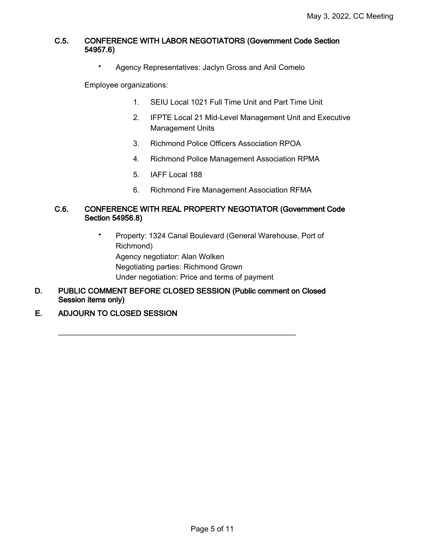### C.5. CONFERENCE WITH LABOR NEGOTIATORS (Government Code Section 54957.6)

• Agency Representatives: Jaclyn Gross and Anil Comelo

Employee organizations:

- 1. SEIU Local 1021 Full Time Unit and Part Time Unit
- 2. IFPTE Local 21 Mid-Level Management Unit and Executive Management Units
- 3. Richmond Police Officers Association RPOA
- 4. Richmond Police Management Association RPMA
- 5. IAFF Local 188
- 6. Richmond Fire Management Association RFMA

### C.6. CONFERENCE WITH REAL PROPERTY NEGOTIATOR (Government Code Section 54956.8)

- Property: 1324 Canal Boulevard (General Warehouse, Port of Richmond) Agency negotiator: Alan Wolken Negotiating parties: Richmond Grown Under negotiation: Price and terms of payment
- D. PUBLIC COMMENT BEFORE CLOSED SESSION (Public comment on Closed Session items only)

\_\_\_\_\_\_\_\_\_\_\_\_\_\_\_\_\_\_\_\_\_\_\_\_\_\_\_\_\_\_\_\_\_\_\_\_\_\_\_\_\_\_\_\_\_\_\_\_\_\_\_\_\_\_\_\_

E. ADJOURN TO CLOSED SESSION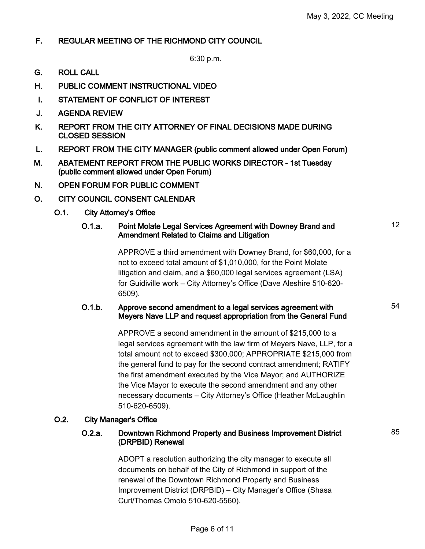12

54

85

# F. REGULAR MEETING OF THE RICHMOND CITY COUNCIL

6:30 p.m.

- G. ROLL CALL
- H. PUBLIC COMMENT INSTRUCTIONAL VIDEO
- I. STATEMENT OF CONFLICT OF INTEREST
- J. AGENDA REVIEW
- K. REPORT FROM THE CITY ATTORNEY OF FINAL DECISIONS MADE DURING CLOSED SESSION
- L. REPORT FROM THE CITY MANAGER (public comment allowed under Open Forum)
- M. ABATEMENT REPORT FROM THE PUBLIC WORKS DIRECTOR 1st Tuesday (public comment allowed under Open Forum)
- N. OPEN FORUM FOR PUBLIC COMMENT
- O. CITY COUNCIL CONSENT CALENDAR
	- O.1. City Attorney's Office

### O.1.a. Point Molate Legal Services Agreement with Downey Brand and Amendment Related to Claims and Litigation

APPROVE a third amendment with Downey Brand, for \$60,000, for a not to exceed total amount of \$1,010,000, for the Point Molate litigation and claim, and a \$60,000 legal services agreement (LSA) for Guidiville work – City Attorney's Office (Dave Aleshire 510-620- 6509).

### O.1.b. Approve second amendment to a legal services agreement with Meyers Nave LLP and request appropriation from the General Fund

APPROVE a second amendment in the amount of \$215,000 to a legal services agreement with the law firm of Meyers Nave, LLP, for a total amount not to exceed \$300,000; APPROPRIATE \$215,000 from the general fund to pay for the second contract amendment; RATIFY the first amendment executed by the Vice Mayor; and AUTHORIZE the Vice Mayor to execute the second amendment and any other necessary documents – City Attorney's Office (Heather McLaughlin 510-620-6509).

### O.2. City Manager's Office

# O.2.a. Downtown Richmond Property and Business Improvement District (DRPBID) Renewal

ADOPT a resolution authorizing the city manager to execute all documents on behalf of the City of Richmond in support of the renewal of the Downtown Richmond Property and Business Improvement District (DRPBID) – City Manager's Office (Shasa Curl/Thomas Omolo 510-620-5560).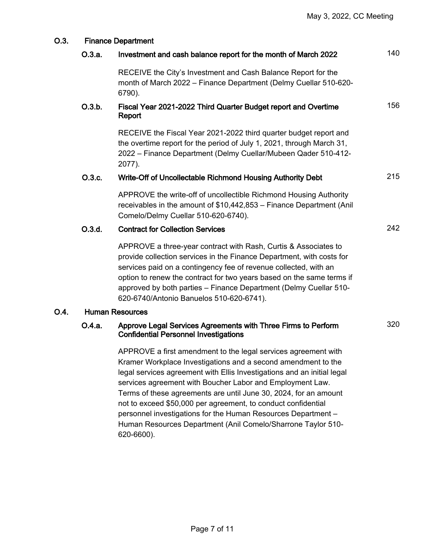| O.3. | <b>Finance Department</b> |                                                                                                                                                                                                                                                                                                                                                                                                                                                                                                                                               |     |
|------|---------------------------|-----------------------------------------------------------------------------------------------------------------------------------------------------------------------------------------------------------------------------------------------------------------------------------------------------------------------------------------------------------------------------------------------------------------------------------------------------------------------------------------------------------------------------------------------|-----|
|      | O.3.a.                    | Investment and cash balance report for the month of March 2022                                                                                                                                                                                                                                                                                                                                                                                                                                                                                | 140 |
|      |                           | RECEIVE the City's Investment and Cash Balance Report for the<br>month of March 2022 - Finance Department (Delmy Cuellar 510-620-<br>6790).                                                                                                                                                                                                                                                                                                                                                                                                   |     |
|      | O.3.b.                    | Fiscal Year 2021-2022 Third Quarter Budget report and Overtime<br>Report                                                                                                                                                                                                                                                                                                                                                                                                                                                                      | 156 |
|      |                           | RECEIVE the Fiscal Year 2021-2022 third quarter budget report and<br>the overtime report for the period of July 1, 2021, through March 31,<br>2022 - Finance Department (Delmy Cuellar/Mubeen Qader 510-412-<br>2077).                                                                                                                                                                                                                                                                                                                        |     |
|      | O.3.c.                    | Write-Off of Uncollectable Richmond Housing Authority Debt                                                                                                                                                                                                                                                                                                                                                                                                                                                                                    | 215 |
|      |                           | APPROVE the write-off of uncollectible Richmond Housing Authority<br>receivables in the amount of \$10,442,853 - Finance Department (Anil<br>Comelo/Delmy Cuellar 510-620-6740).                                                                                                                                                                                                                                                                                                                                                              |     |
|      | O.3.d.                    | <b>Contract for Collection Services</b>                                                                                                                                                                                                                                                                                                                                                                                                                                                                                                       | 242 |
|      |                           | APPROVE a three-year contract with Rash, Curtis & Associates to<br>provide collection services in the Finance Department, with costs for<br>services paid on a contingency fee of revenue collected, with an<br>option to renew the contract for two years based on the same terms if<br>approved by both parties - Finance Department (Delmy Cuellar 510-<br>620-6740/Antonio Banuelos 510-620-6741).                                                                                                                                        |     |
| O.4. |                           | <b>Human Resources</b>                                                                                                                                                                                                                                                                                                                                                                                                                                                                                                                        |     |
|      | O.4.a.                    | Approve Legal Services Agreements with Three Firms to Perform<br><b>Confidential Personnel Investigations</b>                                                                                                                                                                                                                                                                                                                                                                                                                                 | 320 |
|      |                           | APPROVE a first amendment to the legal services agreement with<br>Kramer Workplace Investigations and a second amendment to the<br>legal services agreement with Ellis Investigations and an initial legal<br>services agreement with Boucher Labor and Employment Law.<br>Terms of these agreements are until June 30, 2024, for an amount<br>not to exceed \$50,000 per agreement, to conduct confidential<br>personnel investigations for the Human Resources Department -<br>Human Resources Department (Anil Comelo/Sharrone Taylor 510- |     |

620-6600).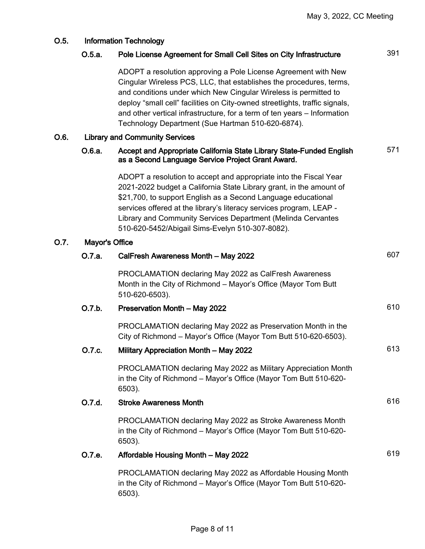| O.5. | <b>Information Technology</b> |                                                                                                                                                                                                                                                                                                                                                                                                                           |     |  |
|------|-------------------------------|---------------------------------------------------------------------------------------------------------------------------------------------------------------------------------------------------------------------------------------------------------------------------------------------------------------------------------------------------------------------------------------------------------------------------|-----|--|
|      | O.5.a.                        | Pole License Agreement for Small Cell Sites on City Infrastructure                                                                                                                                                                                                                                                                                                                                                        | 391 |  |
|      |                               | ADOPT a resolution approving a Pole License Agreement with New<br>Cingular Wireless PCS, LLC, that establishes the procedures, terms,<br>and conditions under which New Cingular Wireless is permitted to<br>deploy "small cell" facilities on City-owned streetlights, traffic signals,<br>and other vertical infrastructure, for a term of ten years – Information<br>Technology Department (Sue Hartman 510-620-6874). |     |  |
| O.6. |                               | <b>Library and Community Services</b>                                                                                                                                                                                                                                                                                                                                                                                     |     |  |
|      | O.6.a.                        | Accept and Appropriate California State Library State-Funded English<br>as a Second Language Service Project Grant Award.                                                                                                                                                                                                                                                                                                 | 571 |  |
|      |                               | ADOPT a resolution to accept and appropriate into the Fiscal Year<br>2021-2022 budget a California State Library grant, in the amount of<br>\$21,700, to support English as a Second Language educational<br>services offered at the library's literacy services program, LEAP -<br>Library and Community Services Department (Melinda Cervantes<br>510-620-5452/Abigail Sims-Evelyn 510-307-8082).                       |     |  |
| O.7. | Mayor's Office                |                                                                                                                                                                                                                                                                                                                                                                                                                           |     |  |
|      | 0.7.a.                        | CalFresh Awareness Month - May 2022                                                                                                                                                                                                                                                                                                                                                                                       | 607 |  |
|      |                               | PROCLAMATION declaring May 2022 as CalFresh Awareness<br>Month in the City of Richmond - Mayor's Office (Mayor Tom Butt<br>510-620-6503).                                                                                                                                                                                                                                                                                 |     |  |
|      | O.7.b.                        | Preservation Month - May 2022                                                                                                                                                                                                                                                                                                                                                                                             | 610 |  |
|      |                               | PROCLAMATION declaring May 2022 as Preservation Month in the<br>City of Richmond – Mayor's Office (Mayor Tom Butt 510-620-6503).                                                                                                                                                                                                                                                                                          |     |  |
|      | O.7.c.                        | Military Appreciation Month - May 2022                                                                                                                                                                                                                                                                                                                                                                                    | 613 |  |
|      |                               | PROCLAMATION declaring May 2022 as Military Appreciation Month<br>in the City of Richmond - Mayor's Office (Mayor Tom Butt 510-620-<br>6503).                                                                                                                                                                                                                                                                             |     |  |
|      | O.7.d.                        | <b>Stroke Awareness Month</b>                                                                                                                                                                                                                                                                                                                                                                                             | 616 |  |
|      |                               | PROCLAMATION declaring May 2022 as Stroke Awareness Month<br>in the City of Richmond - Mayor's Office (Mayor Tom Butt 510-620-<br>6503).                                                                                                                                                                                                                                                                                  |     |  |
|      | O.7.e.                        | Affordable Housing Month - May 2022                                                                                                                                                                                                                                                                                                                                                                                       | 619 |  |
|      |                               | PROCLAMATION declaring May 2022 as Affordable Housing Month<br>in the City of Richmond – Mayor's Office (Mayor Tom Butt 510-620-<br>6503).                                                                                                                                                                                                                                                                                |     |  |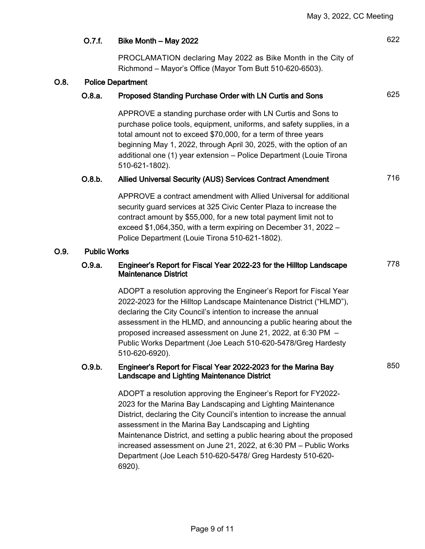|      | O.7.f.              | Bike Month - May 2022                                                                                                                                                                                                                                                                                                                                                                                                             | 622 |
|------|---------------------|-----------------------------------------------------------------------------------------------------------------------------------------------------------------------------------------------------------------------------------------------------------------------------------------------------------------------------------------------------------------------------------------------------------------------------------|-----|
|      |                     | PROCLAMATION declaring May 2022 as Bike Month in the City of<br>Richmond - Mayor's Office (Mayor Tom Butt 510-620-6503).                                                                                                                                                                                                                                                                                                          |     |
| O.8. |                     | <b>Police Department</b>                                                                                                                                                                                                                                                                                                                                                                                                          |     |
|      | O.8.a.              | Proposed Standing Purchase Order with LN Curtis and Sons                                                                                                                                                                                                                                                                                                                                                                          | 625 |
|      |                     | APPROVE a standing purchase order with LN Curtis and Sons to<br>purchase police tools, equipment, uniforms, and safety supplies, in a<br>total amount not to exceed \$70,000, for a term of three years<br>beginning May 1, 2022, through April 30, 2025, with the option of an<br>additional one (1) year extension - Police Department (Louie Tirona<br>510-621-1802).                                                          |     |
|      | O.8.b.              | Allied Universal Security (AUS) Services Contract Amendment                                                                                                                                                                                                                                                                                                                                                                       | 716 |
|      |                     | APPROVE a contract amendment with Allied Universal for additional<br>security guard services at 325 Civic Center Plaza to increase the<br>contract amount by \$55,000, for a new total payment limit not to<br>exceed \$1,064,350, with a term expiring on December 31, 2022 -<br>Police Department (Louie Tirona 510-621-1802).                                                                                                  |     |
| O.9. | <b>Public Works</b> |                                                                                                                                                                                                                                                                                                                                                                                                                                   |     |
|      | O.9.a.              | Engineer's Report for Fiscal Year 2022-23 for the Hilltop Landscape<br><b>Maintenance District</b>                                                                                                                                                                                                                                                                                                                                | 778 |
|      |                     | ADOPT a resolution approving the Engineer's Report for Fiscal Year<br>2022-2023 for the Hilltop Landscape Maintenance District ("HLMD"),<br>declaring the City Council's intention to increase the annual<br>assessment in the HLMD, and announcing a public hearing about the<br>proposed increased assessment on June 21, 2022, at 6:30 PM -<br>Public Works Department (Joe Leach 510-620-5478/Greg Hardesty<br>510-620-6920). |     |
|      | O.9.b.              | Engineer's Report for Fiscal Year 2022-2023 for the Marina Bay<br><b>Landscape and Lighting Maintenance District</b>                                                                                                                                                                                                                                                                                                              | 850 |
|      |                     | ADOPT a resolution approving the Engineer's Report for FY2022-<br>2023 for the Marina Bay Landscaping and Lighting Maintenance<br>District, declaring the City Council's intention to increase the annual<br>assessment in the Marina Bay Landscaping and Lighting<br>Maintenance District, and setting a public hearing about the proposed<br>increased assessment on June 21, 2022, at 6:30 PM - Public Works                   |     |

increased assessment on June 21, 2022, at 6:30 PM – Public Works Department (Joe Leach 510-620-5478/ Greg Hardesty 510-620- 6920).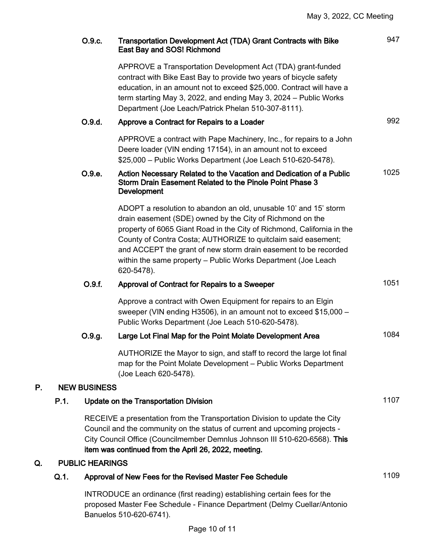|    |      | O.9.c.                 | <b>Transportation Development Act (TDA) Grant Contracts with Bike</b><br>East Bay and SOS! Richmond                                                                                                                                                                                                                                                                                                                        | 947  |
|----|------|------------------------|----------------------------------------------------------------------------------------------------------------------------------------------------------------------------------------------------------------------------------------------------------------------------------------------------------------------------------------------------------------------------------------------------------------------------|------|
|    |      |                        | APPROVE a Transportation Development Act (TDA) grant-funded<br>contract with Bike East Bay to provide two years of bicycle safety<br>education, in an amount not to exceed \$25,000. Contract will have a<br>term starting May 3, 2022, and ending May 3, 2024 – Public Works<br>Department (Joe Leach/Patrick Phelan 510-307-8111).                                                                                       |      |
|    |      | O.9.d.                 | Approve a Contract for Repairs to a Loader                                                                                                                                                                                                                                                                                                                                                                                 | 992  |
|    |      |                        | APPROVE a contract with Pape Machinery, Inc., for repairs to a John<br>Deere loader (VIN ending 17154), in an amount not to exceed<br>\$25,000 - Public Works Department (Joe Leach 510-620-5478).                                                                                                                                                                                                                         |      |
|    |      | O.9.e.                 | Action Necessary Related to the Vacation and Dedication of a Public<br>Storm Drain Easement Related to the Pinole Point Phase 3<br><b>Development</b>                                                                                                                                                                                                                                                                      | 1025 |
|    |      |                        | ADOPT a resolution to abandon an old, unusable 10' and 15' storm<br>drain easement (SDE) owned by the City of Richmond on the<br>property of 6065 Giant Road in the City of Richmond, California in the<br>County of Contra Costa; AUTHORIZE to quitclaim said easement;<br>and ACCEPT the grant of new storm drain easement to be recorded<br>within the same property - Public Works Department (Joe Leach<br>620-5478). |      |
|    |      | O.9.f.                 | Approval of Contract for Repairs to a Sweeper                                                                                                                                                                                                                                                                                                                                                                              | 1051 |
|    |      |                        | Approve a contract with Owen Equipment for repairs to an Elgin<br>sweeper (VIN ending H3506), in an amount not to exceed \$15,000 -<br>Public Works Department (Joe Leach 510-620-5478).                                                                                                                                                                                                                                   |      |
|    |      | O.9.g.                 | Large Lot Final Map for the Point Molate Development Area                                                                                                                                                                                                                                                                                                                                                                  | 1084 |
|    |      |                        | AUTHORIZE the Mayor to sign, and staff to record the large lot final<br>map for the Point Molate Development - Public Works Department<br>(Joe Leach 620-5478).                                                                                                                                                                                                                                                            |      |
| P. |      | <b>NEW BUSINESS</b>    |                                                                                                                                                                                                                                                                                                                                                                                                                            |      |
|    | P.1. |                        | <b>Update on the Transportation Division</b>                                                                                                                                                                                                                                                                                                                                                                               | 1107 |
|    |      |                        | RECEIVE a presentation from the Transportation Division to update the City<br>Council and the community on the status of current and upcoming projects -<br>City Council Office (Councilmember Demnlus Johnson III 510-620-6568). This<br>item was continued from the April 26, 2022, meeting.                                                                                                                             |      |
| Q. |      | <b>PUBLIC HEARINGS</b> |                                                                                                                                                                                                                                                                                                                                                                                                                            |      |
|    | Q.1. |                        | Approval of New Fees for the Revised Master Fee Schedule                                                                                                                                                                                                                                                                                                                                                                   | 1109 |
|    |      |                        | INTRODUCE an ordinance (first reading) establishing certain fees for the                                                                                                                                                                                                                                                                                                                                                   |      |

INTRODUCE an ordinance (first reading) establishing certain fees for the proposed Master Fee Schedule - Finance Department (Delmy Cuellar/Antonio Banuelos 510-620-6741).

 $P<sub>r</sub>$